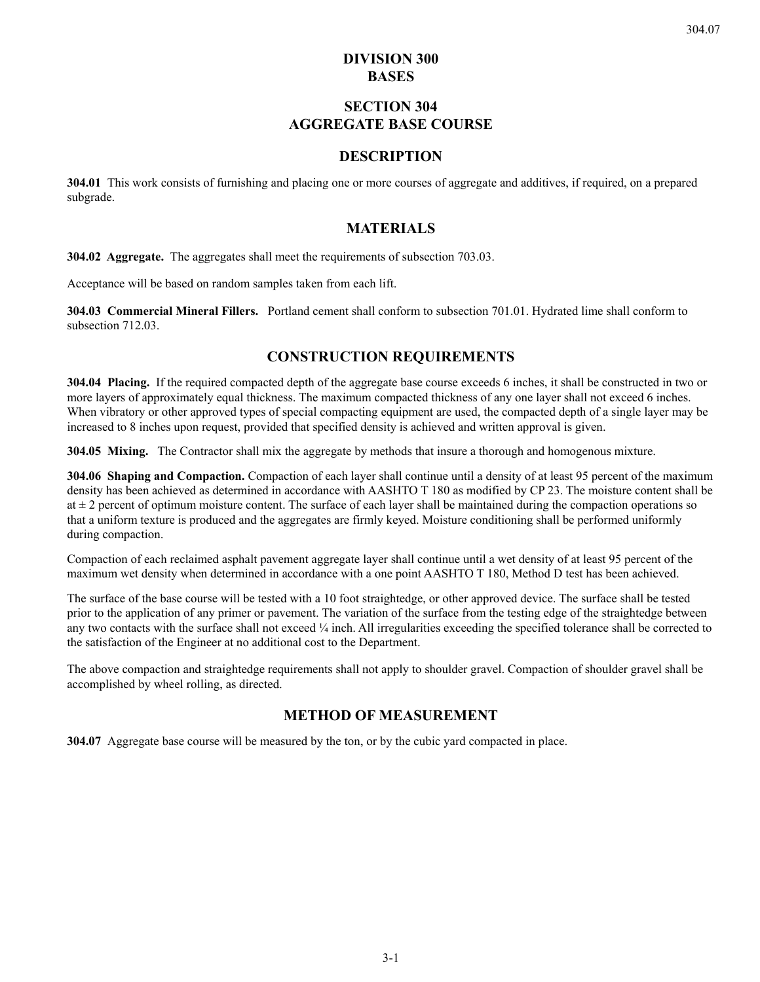## **DIVISION 300 BASES**

# **SECTION 304 AGGREGATE BASE COURSE**

### **DESCRIPTION**

**304.01** This work consists of furnishing and placing one or more courses of aggregate and additives, if required, on a prepared subgrade.

### **MATERIALS**

**304.02 Aggregate.** The aggregates shall meet the requirements of subsection 703.03.

Acceptance will be based on random samples taken from each lift.

**304.03 Commercial Mineral Fillers.** Portland cement shall conform to subsection 701.01. Hydrated lime shall conform to subsection 712.03.

### **CONSTRUCTION REQUIREMENTS**

**304.04 Placing.** If the required compacted depth of the aggregate base course exceeds 6 inches, it shall be constructed in two or more layers of approximately equal thickness. The maximum compacted thickness of any one layer shall not exceed 6 inches. When vibratory or other approved types of special compacting equipment are used, the compacted depth of a single layer may be increased to 8 inches upon request, provided that specified density is achieved and written approval is given.

**304.05 Mixing.** The Contractor shall mix the aggregate by methods that insure a thorough and homogenous mixture.

**304.06 Shaping and Compaction.** Compaction of each layer shall continue until a density of at least 95 percent of the maximum density has been achieved as determined in accordance with AASHTO T 180 as modified by CP 23. The moisture content shall be at  $\pm 2$  percent of optimum moisture content. The surface of each layer shall be maintained during the compaction operations so that a uniform texture is produced and the aggregates are firmly keyed. Moisture conditioning shall be performed uniformly during compaction.

Compaction of each reclaimed asphalt pavement aggregate layer shall continue until a wet density of at least 95 percent of the maximum wet density when determined in accordance with a one point AASHTO T 180, Method D test has been achieved.

The surface of the base course will be tested with a 10 foot straightedge, or other approved device. The surface shall be tested prior to the application of any primer or pavement. The variation of the surface from the testing edge of the straightedge between any two contacts with the surface shall not exceed ¼ inch. All irregularities exceeding the specified tolerance shall be corrected to the satisfaction of the Engineer at no additional cost to the Department.

The above compaction and straightedge requirements shall not apply to shoulder gravel. Compaction of shoulder gravel shall be accomplished by wheel rolling, as directed.

# **METHOD OF MEASUREMENT**

**304.07** Aggregate base course will be measured by the ton, or by the cubic yard compacted in place.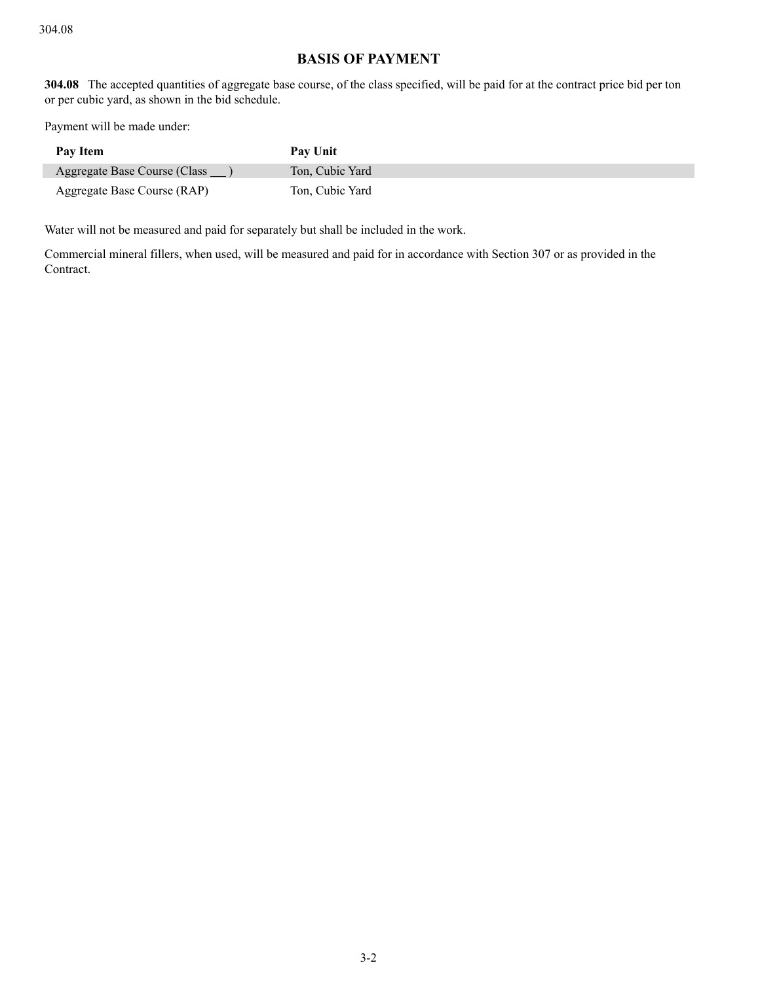# **BASIS OF PAYMENT**

**304.08** The accepted quantities of aggregate base course, of the class specified, will be paid for at the contract price bid per ton or per cubic yard, as shown in the bid schedule.

Payment will be made under:

| Pay Item                     | Pay Unit        |
|------------------------------|-----------------|
| Aggregate Base Course (Class | Ton, Cubic Yard |
| Aggregate Base Course (RAP)  | Ton, Cubic Yard |

Water will not be measured and paid for separately but shall be included in the work.

Commercial mineral fillers, when used, will be measured and paid for in accordance with Section 307 or as provided in the Contract.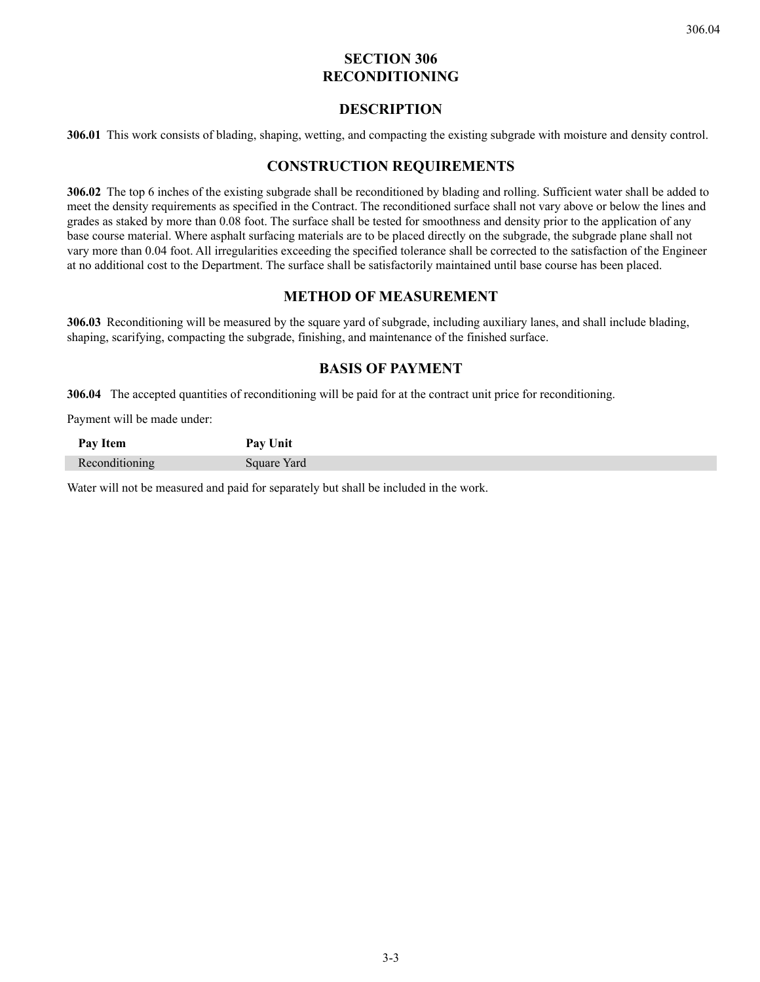# **SECTION 306 RECONDITIONING**

### **DESCRIPTION**

**306.01** This work consists of blading, shaping, wetting, and compacting the existing subgrade with moisture and density control.

### **CONSTRUCTION REQUIREMENTS**

**306.02** The top 6 inches of the existing subgrade shall be reconditioned by blading and rolling. Sufficient water shall be added to meet the density requirements as specified in the Contract. The reconditioned surface shall not vary above or below the lines and grades as staked by more than 0.08 foot. The surface shall be tested for smoothness and density prior to the application of any base course material. Where asphalt surfacing materials are to be placed directly on the subgrade, the subgrade plane shall not vary more than 0.04 foot. All irregularities exceeding the specified tolerance shall be corrected to the satisfaction of the Engineer at no additional cost to the Department. The surface shall be satisfactorily maintained until base course has been placed.

## **METHOD OF MEASUREMENT**

**306.03** Reconditioning will be measured by the square yard of subgrade, including auxiliary lanes, and shall include blading, shaping, scarifying, compacting the subgrade, finishing, and maintenance of the finished surface.

## **BASIS OF PAYMENT**

**306.04** The accepted quantities of reconditioning will be paid for at the contract unit price for reconditioning.

Payment will be made under:

| Pay Item | Unit<br>Jost.<br>1 ay |
|----------|-----------------------|
|          | Yard<br>011040        |

Water will not be measured and paid for separately but shall be included in the work.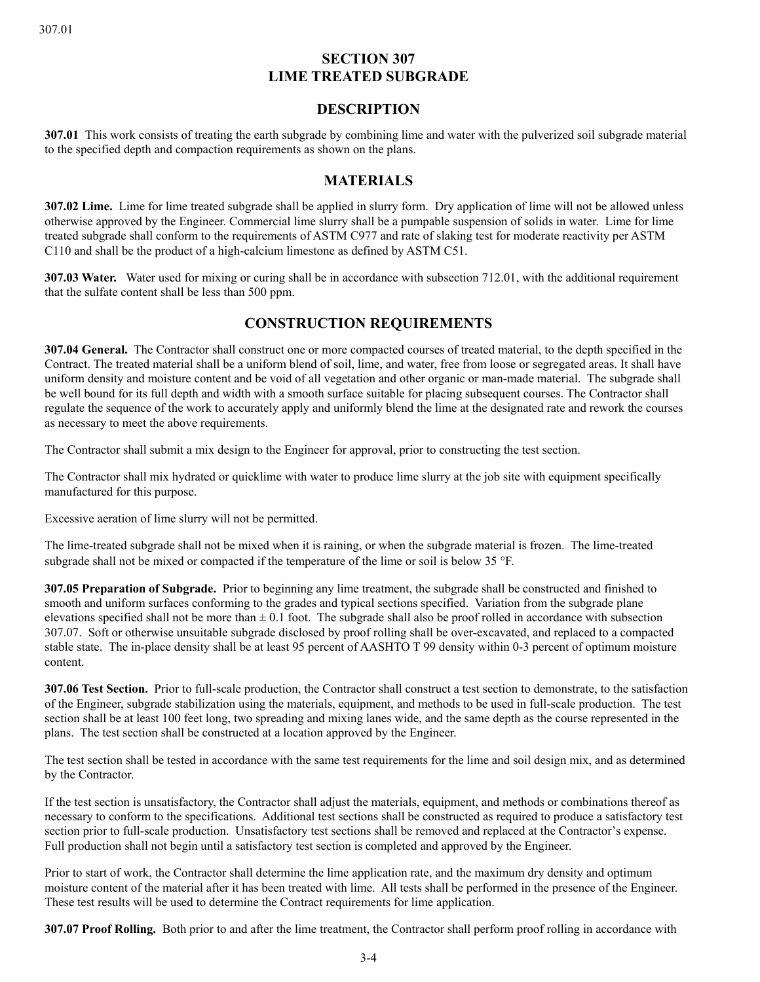# **SECTION 307 LIME TREATED SUBGRADE**

## **DESCRIPTION**

**307.01** This work consists of treating the earth subgrade by combining lime and water with the pulverized soil subgrade material to the specified depth and compaction requirements as shown on the plans.

## **MATERIALS**

**307.02 Lime.** Lime for lime treated subgrade shall be applied in slurry form. Dry application of lime will not be allowed unless otherwise approved by the Engineer. Commercial lime slurry shall be a pumpable suspension of solids in water. Lime for lime treated subgrade shall conform to the requirements of ASTM C977 and rate of slaking test for moderate reactivity per ASTM C110 and shall be the product of a high-calcium limestone as defined by ASTM C51.

**307.03 Water.** Water used for mixing or curing shall be in accordance with subsection 712.01, with the additional requirement that the sulfate content shall be less than 500 ppm.

## **CONSTRUCTION REQUIREMENTS**

**307.04 General.** The Contractor shall construct one or more compacted courses of treated material, to the depth specified in the Contract. The treated material shall be a uniform blend of soil, lime, and water, free from loose or segregated areas. It shall have uniform density and moisture content and be void of all vegetation and other organic or man-made material. The subgrade shall be well bound for its full depth and width with a smooth surface suitable for placing subsequent courses. The Contractor shall regulate the sequence of the work to accurately apply and uniformly blend the lime at the designated rate and rework the courses as necessary to meet the above requirements.

The Contractor shall submit a mix design to the Engineer for approval, prior to constructing the test section.

The Contractor shall mix hydrated or quicklime with water to produce lime slurry at the job site with equipment specifically manufactured for this purpose.

Excessive aeration of lime slurry will not be permitted.

The lime-treated subgrade shall not be mixed when it is raining, or when the subgrade material is frozen. The lime-treated subgrade shall not be mixed or compacted if the temperature of the lime or soil is below 35 °F.

**307.05 Preparation of Subgrade.** Prior to beginning any lime treatment, the subgrade shall be constructed and finished to smooth and uniform surfaces conforming to the grades and typical sections specified. Variation from the subgrade plane elevations specified shall not be more than  $\pm 0.1$  foot. The subgrade shall also be proof rolled in accordance with subsection 307.07. Soft or otherwise unsuitable subgrade disclosed by proof rolling shall be over-excavated, and replaced to a compacted stable state. The in-place density shall be at least 95 percent of AASHTO T 99 density within 0-3 percent of optimum moisture content.

**307.06 Test Section.** Prior to full-scale production, the Contractor shall construct a test section to demonstrate, to the satisfaction of the Engineer, subgrade stabilization using the materials, equipment, and methods to be used in full-scale production. The test section shall be at least 100 feet long, two spreading and mixing lanes wide, and the same depth as the course represented in the plans. The test section shall be constructed at a location approved by the Engineer.

The test section shall be tested in accordance with the same test requirements for the lime and soil design mix, and as determined by the Contractor.

If the test section is unsatisfactory, the Contractor shall adjust the materials, equipment, and methods or combinations thereof as necessary to conform to the specifications. Additional test sections shall be constructed as required to produce a satisfactory test section prior to full-scale production. Unsatisfactory test sections shall be removed and replaced at the Contractor's expense. Full production shall not begin until a satisfactory test section is completed and approved by the Engineer.

Prior to start of work, the Contractor shall determine the lime application rate, and the maximum dry density and optimum moisture content of the material after it has been treated with lime. All tests shall be performed in the presence of the Engineer. These test results will be used to determine the Contract requirements for lime application.

**307.07 Proof Rolling.** Both prior to and after the lime treatment, the Contractor shall perform proof rolling in accordance with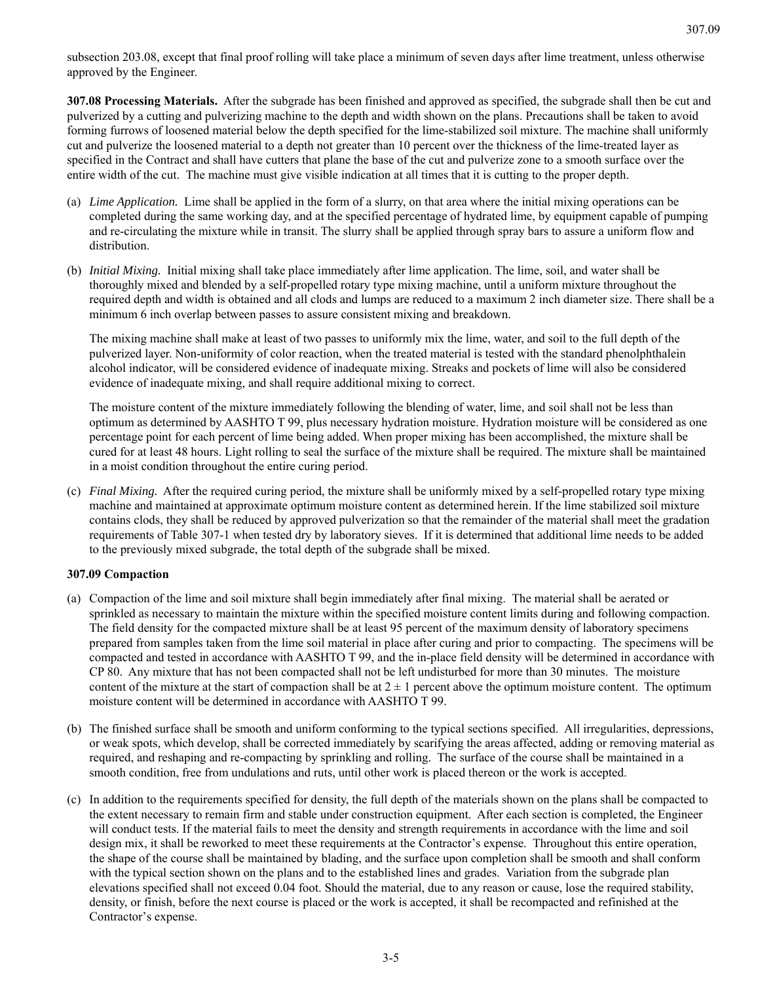subsection 203.08, except that final proof rolling will take place a minimum of seven days after lime treatment, unless otherwise approved by the Engineer.

**307.08 Processing Materials.** After the subgrade has been finished and approved as specified, the subgrade shall then be cut and pulverized by a cutting and pulverizing machine to the depth and width shown on the plans. Precautions shall be taken to avoid forming furrows of loosened material below the depth specified for the lime-stabilized soil mixture. The machine shall uniformly cut and pulverize the loosened material to a depth not greater than 10 percent over the thickness of the lime-treated layer as specified in the Contract and shall have cutters that plane the base of the cut and pulverize zone to a smooth surface over the entire width of the cut. The machine must give visible indication at all times that it is cutting to the proper depth.

- (a) *Lime Application.* Lime shall be applied in the form of a slurry, on that area where the initial mixing operations can be completed during the same working day, and at the specified percentage of hydrated lime, by equipment capable of pumping and re-circulating the mixture while in transit. The slurry shall be applied through spray bars to assure a uniform flow and distribution.
- (b) *Initial Mixing.* Initial mixing shall take place immediately after lime application. The lime, soil, and water shall be thoroughly mixed and blended by a self-propelled rotary type mixing machine, until a uniform mixture throughout the required depth and width is obtained and all clods and lumps are reduced to a maximum 2 inch diameter size. There shall be a minimum 6 inch overlap between passes to assure consistent mixing and breakdown.

The mixing machine shall make at least of two passes to uniformly mix the lime, water, and soil to the full depth of the pulverized layer. Non-uniformity of color reaction, when the treated material is tested with the standard phenolphthalein alcohol indicator, will be considered evidence of inadequate mixing. Streaks and pockets of lime will also be considered evidence of inadequate mixing, and shall require additional mixing to correct.

The moisture content of the mixture immediately following the blending of water, lime, and soil shall not be less than optimum as determined by AASHTO T 99, plus necessary hydration moisture. Hydration moisture will be considered as one percentage point for each percent of lime being added. When proper mixing has been accomplished, the mixture shall be cured for at least 48 hours. Light rolling to seal the surface of the mixture shall be required. The mixture shall be maintained in a moist condition throughout the entire curing period.

(c) *Final Mixing.* After the required curing period, the mixture shall be uniformly mixed by a self-propelled rotary type mixing machine and maintained at approximate optimum moisture content as determined herein. If the lime stabilized soil mixture contains clods, they shall be reduced by approved pulverization so that the remainder of the material shall meet the gradation requirements of Table 307-1 when tested dry by laboratory sieves. If it is determined that additional lime needs to be added to the previously mixed subgrade, the total depth of the subgrade shall be mixed.

#### **307.09 Compaction**

- (a) Compaction of the lime and soil mixture shall begin immediately after final mixing. The material shall be aerated or sprinkled as necessary to maintain the mixture within the specified moisture content limits during and following compaction. The field density for the compacted mixture shall be at least 95 percent of the maximum density of laboratory specimens prepared from samples taken from the lime soil material in place after curing and prior to compacting. The specimens will be compacted and tested in accordance with AASHTO T 99, and the in-place field density will be determined in accordance with CP 80. Any mixture that has not been compacted shall not be left undisturbed for more than 30 minutes. The moisture content of the mixture at the start of compaction shall be at  $2 \pm 1$  percent above the optimum moisture content. The optimum moisture content will be determined in accordance with AASHTO T 99.
- (b) The finished surface shall be smooth and uniform conforming to the typical sections specified. All irregularities, depressions, or weak spots, which develop, shall be corrected immediately by scarifying the areas affected, adding or removing material as required, and reshaping and re-compacting by sprinkling and rolling. The surface of the course shall be maintained in a smooth condition, free from undulations and ruts, until other work is placed thereon or the work is accepted.
- (c) In addition to the requirements specified for density, the full depth of the materials shown on the plans shall be compacted to the extent necessary to remain firm and stable under construction equipment. After each section is completed, the Engineer will conduct tests. If the material fails to meet the density and strength requirements in accordance with the lime and soil design mix, it shall be reworked to meet these requirements at the Contractor's expense. Throughout this entire operation, the shape of the course shall be maintained by blading, and the surface upon completion shall be smooth and shall conform with the typical section shown on the plans and to the established lines and grades. Variation from the subgrade plan elevations specified shall not exceed 0.04 foot. Should the material, due to any reason or cause, lose the required stability, density, or finish, before the next course is placed or the work is accepted, it shall be recompacted and refinished at the Contractor's expense.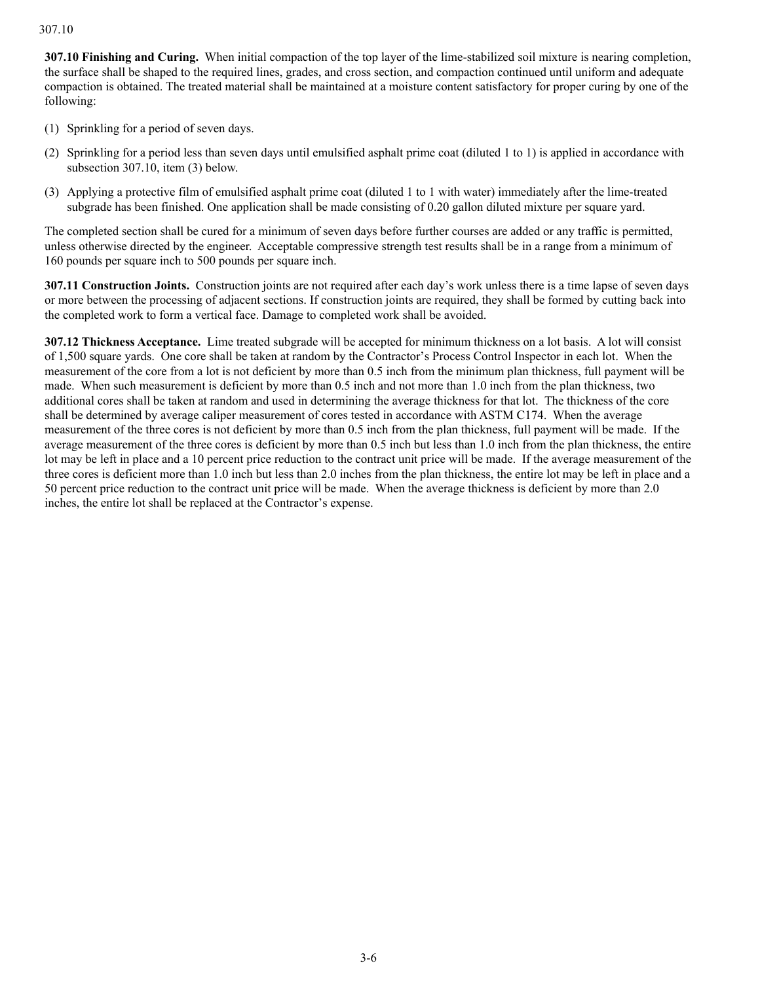#### 307.10

**307.10 Finishing and Curing.** When initial compaction of the top layer of the lime-stabilized soil mixture is nearing completion, the surface shall be shaped to the required lines, grades, and cross section, and compaction continued until uniform and adequate compaction is obtained. The treated material shall be maintained at a moisture content satisfactory for proper curing by one of the following:

- (1) Sprinkling for a period of seven days.
- (2) Sprinkling for a period less than seven days until emulsified asphalt prime coat (diluted 1 to 1) is applied in accordance with subsection 307.10, item (3) below.
- (3) Applying a protective film of emulsified asphalt prime coat (diluted 1 to 1 with water) immediately after the lime-treated subgrade has been finished. One application shall be made consisting of 0.20 gallon diluted mixture per square yard.

The completed section shall be cured for a minimum of seven days before further courses are added or any traffic is permitted, unless otherwise directed by the engineer. Acceptable compressive strength test results shall be in a range from a minimum of 160 pounds per square inch to 500 pounds per square inch.

**307.11 Construction Joints.** Construction joints are not required after each day's work unless there is a time lapse of seven days or more between the processing of adjacent sections. If construction joints are required, they shall be formed by cutting back into the completed work to form a vertical face. Damage to completed work shall be avoided.

**307.12 Thickness Acceptance.** Lime treated subgrade will be accepted for minimum thickness on a lot basis. A lot will consist of 1,500 square yards. One core shall be taken at random by the Contractor's Process Control Inspector in each lot. When the measurement of the core from a lot is not deficient by more than 0.5 inch from the minimum plan thickness, full payment will be made. When such measurement is deficient by more than 0.5 inch and not more than 1.0 inch from the plan thickness, two additional cores shall be taken at random and used in determining the average thickness for that lot. The thickness of the core shall be determined by average caliper measurement of cores tested in accordance with ASTM C174. When the average measurement of the three cores is not deficient by more than 0.5 inch from the plan thickness, full payment will be made. If the average measurement of the three cores is deficient by more than 0.5 inch but less than 1.0 inch from the plan thickness, the entire lot may be left in place and a 10 percent price reduction to the contract unit price will be made. If the average measurement of the three cores is deficient more than 1.0 inch but less than 2.0 inches from the plan thickness, the entire lot may be left in place and a 50 percent price reduction to the contract unit price will be made. When the average thickness is deficient by more than 2.0 inches, the entire lot shall be replaced at the Contractor's expense.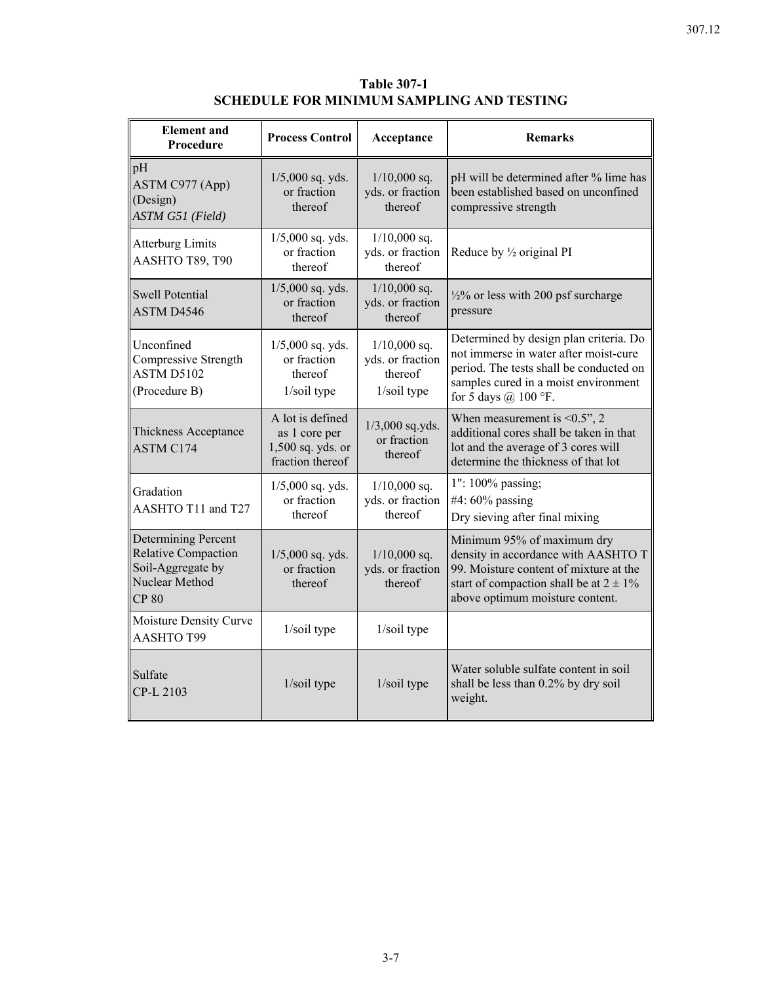# **Table 307-1 SCHEDULE FOR MINIMUM SAMPLING AND TESTING**

| <b>Element</b> and<br>Procedure                                                                   | <b>Process Control</b>                                                     | Acceptance                                                   | <b>Remarks</b>                                                                                                                                                                                |
|---------------------------------------------------------------------------------------------------|----------------------------------------------------------------------------|--------------------------------------------------------------|-----------------------------------------------------------------------------------------------------------------------------------------------------------------------------------------------|
| pH<br>ASTM C977 (App)<br>(Design)<br>ASTM G51 (Field)                                             | $1/5,000$ sq. yds.<br>or fraction<br>thereof                               | $1/10,000$ sq.<br>yds. or fraction<br>thereof                | pH will be determined after % lime has<br>been established based on unconfined<br>compressive strength                                                                                        |
| <b>Atterburg Limits</b><br>AASHTO T89, T90                                                        | $1/5,000$ sq. yds.<br>or fraction<br>thereof                               | $1/10,000$ sq.<br>yds. or fraction<br>thereof                | Reduce by 1/2 original PI                                                                                                                                                                     |
| <b>Swell Potential</b><br>ASTM D4546                                                              | $1/5,000$ sq. yds.<br>or fraction<br>thereof                               | $1/10,000$ sq.<br>yds. or fraction<br>thereof                | 1/2% or less with 200 psf surcharge<br>pressure                                                                                                                                               |
| Unconfined<br>Compressive Strength<br><b>ASTM D5102</b><br>(Procedure B)                          | $1/5,000$ sq. yds.<br>or fraction<br>thereof<br>1/soil type                | $1/10,000$ sq.<br>yds. or fraction<br>thereof<br>1/soil type | Determined by design plan criteria. Do<br>not immerse in water after moist-cure<br>period. The tests shall be conducted on<br>samples cured in a moist environment<br>for 5 days @ 100 °F.    |
| Thickness Acceptance<br><b>ASTM C174</b>                                                          | A lot is defined<br>as 1 core per<br>1,500 sq. yds. or<br>fraction thereof | $1/3,000$ sq.yds.<br>or fraction<br>thereof                  | When measurement is $< 0.5$ ", 2<br>additional cores shall be taken in that<br>lot and the average of 3 cores will<br>determine the thickness of that lot                                     |
| Gradation<br>AASHTO T11 and T27                                                                   | $1/5,000$ sq. yds.<br>or fraction<br>thereof                               | $1/10,000$ sq.<br>yds. or fraction<br>thereof                | 1": 100% passing;<br>#4: $60\%$ passing<br>Dry sieving after final mixing                                                                                                                     |
| Determining Percent<br>Relative Compaction<br>Soil-Aggregate by<br>Nuclear Method<br><b>CP 80</b> | $1/5,000$ sq. yds.<br>or fraction<br>thereof                               | $1/10,000$ sq.<br>yds. or fraction<br>thereof                | Minimum 95% of maximum dry<br>density in accordance with AASHTO T<br>99. Moisture content of mixture at the<br>start of compaction shall be at $2 \pm 1\%$<br>above optimum moisture content. |
| Moisture Density Curve<br><b>AASHTO T99</b>                                                       | 1/soil type                                                                | 1/soil type                                                  |                                                                                                                                                                                               |
| Sulfate<br>CP-L 2103                                                                              | 1/soil type                                                                | 1/soil type                                                  | Water soluble sulfate content in soil<br>shall be less than 0.2% by dry soil<br>weight.                                                                                                       |